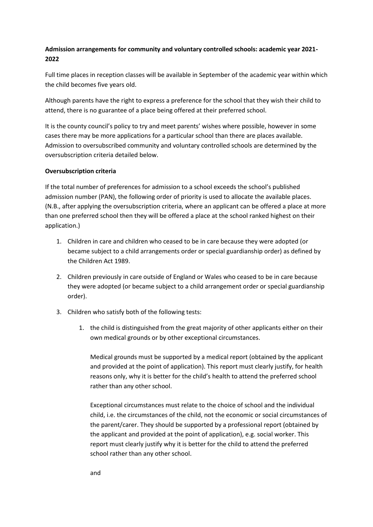# **Admission arrangements for community and voluntary controlled schools: academic year 2021- 2022**

Full time places in reception classes will be available in September of the academic year within which the child becomes five years old.

Although parents have the right to express a preference for the school that they wish their child to attend, there is no guarantee of a place being offered at their preferred school.

It is the county council's policy to try and meet parents' wishes where possible, however in some cases there may be more applications for a particular school than there are places available. Admission to oversubscribed community and voluntary controlled schools are determined by the oversubscription criteria detailed below.

#### **Oversubscription criteria**

If the total number of preferences for admission to a school exceeds the school's published admission number (PAN), the following order of priority is used to allocate the available places. (N.B., after applying the oversubscription criteria, where an applicant can be offered a place at more than one preferred school then they will be offered a place at the school ranked highest on their application.)

- 1. Children in care and children who ceased to be in care because they were adopted (or became subject to a child arrangements order or special guardianship order) as defined by the Children Act 1989.
- 2. Children previously in care outside of England or Wales who ceased to be in care because they were adopted (or became subject to a child arrangement order or special guardianship order).
- 3. Children who satisfy both of the following tests:
	- 1. the child is distinguished from the great majority of other applicants either on their own medical grounds or by other exceptional circumstances.

Medical grounds must be supported by a medical report (obtained by the applicant and provided at the point of application). This report must clearly justify, for health reasons only, why it is better for the child's health to attend the preferred school rather than any other school.

Exceptional circumstances must relate to the choice of school and the individual child, i.e. the circumstances of the child, not the economic or social circumstances of the parent/carer. They should be supported by a professional report (obtained by the applicant and provided at the point of application), e.g. social worker. This report must clearly justify why it is better for the child to attend the preferred school rather than any other school.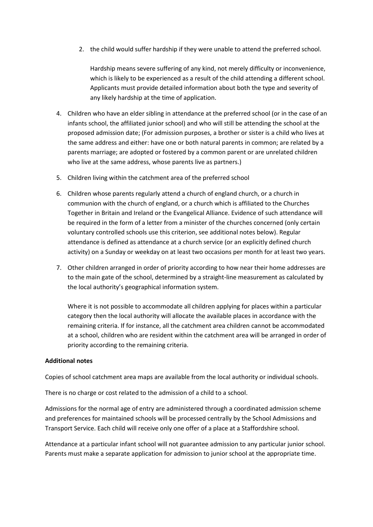2. the child would suffer hardship if they were unable to attend the preferred school.

Hardship means severe suffering of any kind, not merely difficulty or inconvenience, which is likely to be experienced as a result of the child attending a different school. Applicants must provide detailed information about both the type and severity of any likely hardship at the time of application.

- 4. Children who have an elder sibling in attendance at the preferred school (or in the case of an infants school, the affiliated junior school) and who will still be attending the school at the proposed admission date; (For admission purposes, a brother or sister is a child who lives at the same address and either: have one or both natural parents in common; are related by a parents marriage; are adopted or fostered by a common parent or are unrelated children who live at the same address, whose parents live as partners.)
- 5. Children living within the catchment area of the preferred school
- 6. Children whose parents regularly attend a church of england church, or a church in communion with the church of england, or a church which is affiliated to the Churches Together in Britain and Ireland or the Evangelical Alliance. Evidence of such attendance will be required in the form of a letter from a minister of the churches concerned (only certain voluntary controlled schools use this criterion, see additional notes below). Regular attendance is defined as attendance at a church service (or an explicitly defined church activity) on a Sunday or weekday on at least two occasions per month for at least two years.
- 7. Other children arranged in order of priority according to how near their home addresses are to the main gate of the school, determined by a straight-line measurement as calculated by the local authority's geographical information system.

Where it is not possible to accommodate all children applying for places within a particular category then the local authority will allocate the available places in accordance with the remaining criteria. If for instance, all the catchment area children cannot be accommodated at a school, children who are resident within the catchment area will be arranged in order of priority according to the remaining criteria.

#### **Additional notes**

Copies of school catchment area maps are available from the local authority or individual schools.

There is no charge or cost related to the admission of a child to a school.

Admissions for the normal age of entry are administered through a coordinated admission scheme and preferences for maintained schools will be processed centrally by the School Admissions and Transport Service. Each child will receive only one offer of a place at a Staffordshire school.

Attendance at a particular infant school will not guarantee admission to any particular junior school. Parents must make a separate application for admission to junior school at the appropriate time.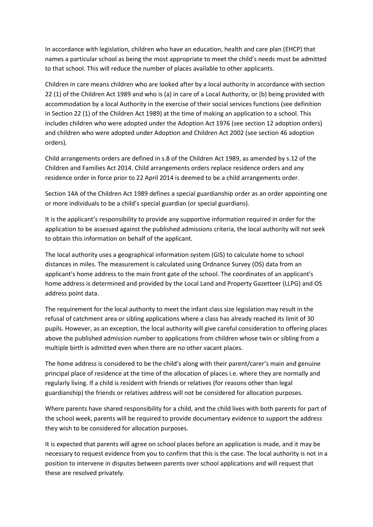In accordance with legislation, children who have an education, health and care plan (EHCP) that names a particular school as being the most appropriate to meet the child's needs must be admitted to that school. This will reduce the number of places available to other applicants.

Children in care means children who are looked after by a local authority in accordance with section 22 (1) of the Children Act 1989 and who is (a) in care of a Local Authority, or (b) being provided with accommodation by a local Authority in the exercise of their social services functions (see definition in Section 22 (1) of the Children Act 1989) at the time of making an application to a school. This includes children who were adopted under the Adoption Act 1976 (see section 12 adoption orders) and children who were adopted under Adoption and Children Act 2002 (see section 46 adoption orders).

Child arrangements orders are defined in s.8 of the Children Act 1989, as amended by s.12 of the Children and Families Act 2014. Child arrangements orders replace residence orders and any residence order in force prior to 22 April 2014 is deemed to be a child arrangements order.

Section 14A of the Children Act 1989 defines a special guardianship order as an order appointing one or more individuals to be a child's special guardian (or special guardians).

It is the applicant's responsibility to provide any supportive information required in order for the application to be assessed against the published admissions criteria, the local authority will not seek to obtain this information on behalf of the applicant.

The local authority uses a geographical information system (GIS) to calculate home to school distances in miles. The measurement is calculated using Ordnance Survey (OS) data from an applicant's home address to the main front gate of the school. The coordinates of an applicant's home address is determined and provided by the Local Land and Property Gazetteer (LLPG) and OS address point data.

The requirement for the local authority to meet the infant class size legislation may result in the refusal of catchment area or sibling applications where a class has already reached its limit of 30 pupils. However, as an exception, the local authority will give careful consideration to offering places above the published admission number to applications from children whose twin or sibling from a multiple birth is admitted even when there are no other vacant places.

The home address is considered to be the child's along with their parent/carer's main and genuine principal place of residence at the time of the allocation of places i.e. where they are normally and regularly living. If a child is resident with friends or relatives (for reasons other than legal guardianship) the friends or relatives address will not be considered for allocation purposes.

Where parents have shared responsibility for a child, and the child lives with both parents for part of the school week, parents will be required to provide documentary evidence to support the address they wish to be considered for allocation purposes.

It is expected that parents will agree on school places before an application is made, and it may be necessary to request evidence from you to confirm that this is the case. The local authority is not in a position to intervene in disputes between parents over school applications and will request that these are resolved privately.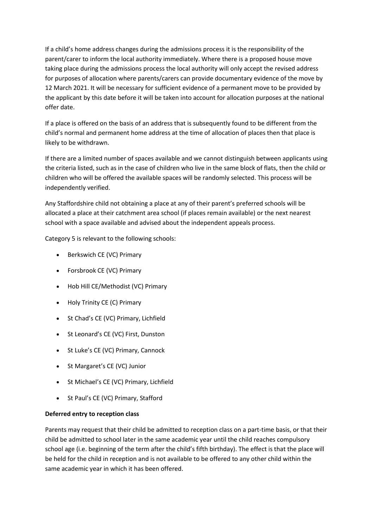If a child's home address changes during the admissions process it is the responsibility of the parent/carer to inform the local authority immediately. Where there is a proposed house move taking place during the admissions process the local authority will only accept the revised address for purposes of allocation where parents/carers can provide documentary evidence of the move by 12 March 2021. It will be necessary for sufficient evidence of a permanent move to be provided by the applicant by this date before it will be taken into account for allocation purposes at the national offer date.

If a place is offered on the basis of an address that is subsequently found to be different from the child's normal and permanent home address at the time of allocation of places then that place is likely to be withdrawn.

If there are a limited number of spaces available and we cannot distinguish between applicants using the criteria listed, such as in the case of children who live in the same block of flats, then the child or children who will be offered the available spaces will be randomly selected. This process will be independently verified.

Any Staffordshire child not obtaining a place at any of their parent's preferred schools will be allocated a place at their catchment area school (if places remain available) or the next nearest school with a space available and advised about the independent appeals process.

Category 5 is relevant to the following schools:

- Berkswich CE (VC) Primary
- Forsbrook CE (VC) Primary
- Hob Hill CE/Methodist (VC) Primary
- Holy Trinity CE (C) Primary
- St Chad's CE (VC) Primary, Lichfield
- St Leonard's CE (VC) First, Dunston
- St Luke's CE (VC) Primary, Cannock
- St Margaret's CE (VC) Junior
- St Michael's CE (VC) Primary, Lichfield
- St Paul's CE (VC) Primary, Stafford

### **Deferred entry to reception class**

Parents may request that their child be admitted to reception class on a part-time basis, or that their child be admitted to school later in the same academic year until the child reaches compulsory school age (i.e. beginning of the term after the child's fifth birthday). The effect is that the place will be held for the child in reception and is not available to be offered to any other child within the same academic year in which it has been offered.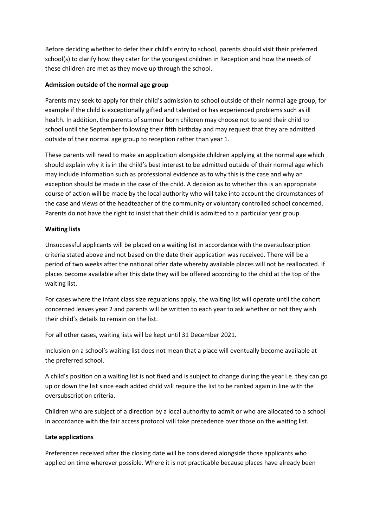Before deciding whether to defer their child's entry to school, parents should visit their preferred school(s) to clarify how they cater for the youngest children in Reception and how the needs of these children are met as they move up through the school.

### **Admission outside of the normal age group**

Parents may seek to apply for their child's admission to school outside of their normal age group, for example if the child is exceptionally gifted and talented or has experienced problems such as ill health. In addition, the parents of summer born children may choose not to send their child to school until the September following their fifth birthday and may request that they are admitted outside of their normal age group to reception rather than year 1.

These parents will need to make an application alongside children applying at the normal age which should explain why it is in the child's best interest to be admitted outside of their normal age which may include information such as professional evidence as to why this is the case and why an exception should be made in the case of the child. A decision as to whether this is an appropriate course of action will be made by the local authority who will take into account the circumstances of the case and views of the headteacher of the community or voluntary controlled school concerned. Parents do not have the right to insist that their child is admitted to a particular year group.

#### **Waiting lists**

Unsuccessful applicants will be placed on a waiting list in accordance with the oversubscription criteria stated above and not based on the date their application was received. There will be a period of two weeks after the national offer date whereby available places will not be reallocated. If places become available after this date they will be offered according to the child at the top of the waiting list.

For cases where the infant class size regulations apply, the waiting list will operate until the cohort concerned leaves year 2 and parents will be written to each year to ask whether or not they wish their child's details to remain on the list.

For all other cases, waiting lists will be kept until 31 December 2021.

Inclusion on a school's waiting list does not mean that a place will eventually become available at the preferred school.

A child's position on a waiting list is not fixed and is subject to change during the year i.e. they can go up or down the list since each added child will require the list to be ranked again in line with the oversubscription criteria.

Children who are subject of a direction by a local authority to admit or who are allocated to a school in accordance with the fair access protocol will take precedence over those on the waiting list.

### **Late applications**

Preferences received after the closing date will be considered alongside those applicants who applied on time wherever possible. Where it is not practicable because places have already been